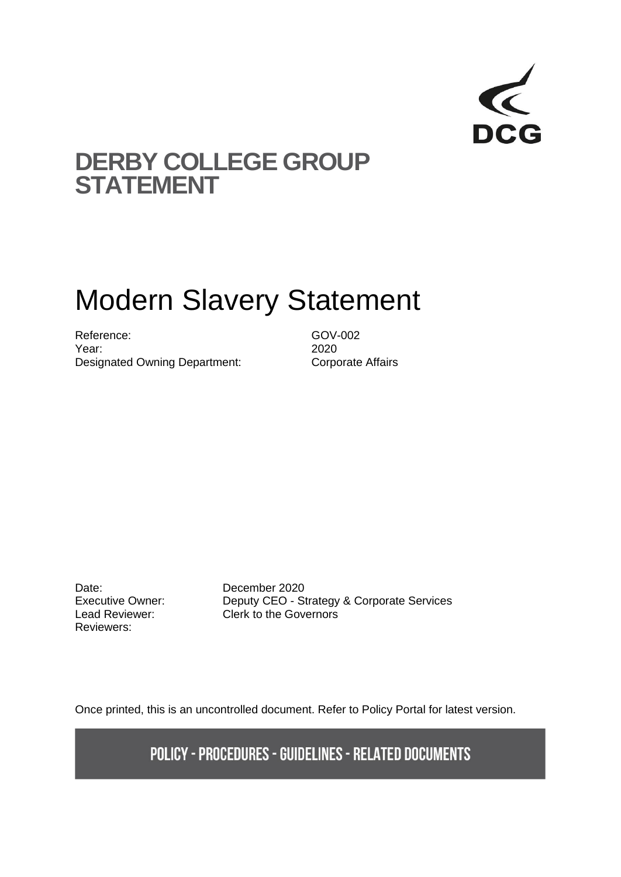

## **DERBY COLLEGE GROUP STATEMENT**

# Modern Slavery Statement

Reference: GOV-002 Year: 2020 Designated Owning Department: Corporate Affairs

Date: December 2020 Reviewers:

Executive Owner: Deputy CEO - Strategy & Corporate Services Lead Reviewer: Clerk to the Governors

Once printed, this is an uncontrolled document. Refer to Policy Portal for latest version.

**POLICY - PROCEDURES - GUIDELINES - RELATED DOCUMENTS**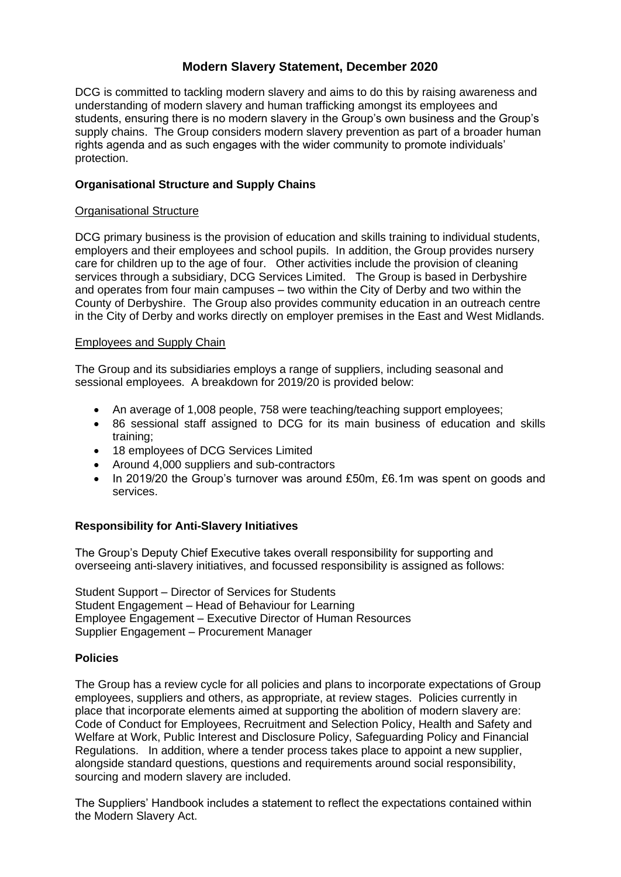### **Modern Slavery Statement, December 2020**

DCG is committed to tackling modern slavery and aims to do this by raising awareness and understanding of modern slavery and human trafficking amongst its employees and students, ensuring there is no modern slavery in the Group's own business and the Group's supply chains. The Group considers modern slavery prevention as part of a broader human rights agenda and as such engages with the wider community to promote individuals' protection.

#### **Organisational Structure and Supply Chains**

#### Organisational Structure

DCG primary business is the provision of education and skills training to individual students, employers and their employees and school pupils. In addition, the Group provides nursery care for children up to the age of four. Other activities include the provision of cleaning services through a subsidiary, DCG Services Limited. The Group is based in Derbyshire and operates from four main campuses – two within the City of Derby and two within the County of Derbyshire. The Group also provides community education in an outreach centre in the City of Derby and works directly on employer premises in the East and West Midlands.

#### Employees and Supply Chain

The Group and its subsidiaries employs a range of suppliers, including seasonal and sessional employees. A breakdown for 2019/20 is provided below:

- An average of 1,008 people, 758 were teaching/teaching support employees;
- 86 sessional staff assigned to DCG for its main business of education and skills training;
- 18 employees of DCG Services Limited
- Around 4,000 suppliers and sub-contractors
- In 2019/20 the Group's turnover was around £50m, £6.1m was spent on goods and services.

#### **Responsibility for Anti-Slavery Initiatives**

The Group's Deputy Chief Executive takes overall responsibility for supporting and overseeing anti-slavery initiatives, and focussed responsibility is assigned as follows:

Student Support – Director of Services for Students Student Engagement – Head of Behaviour for Learning Employee Engagement – Executive Director of Human Resources Supplier Engagement – Procurement Manager

#### **Policies**

The Group has a review cycle for all policies and plans to incorporate expectations of Group employees, suppliers and others, as appropriate, at review stages. Policies currently in place that incorporate elements aimed at supporting the abolition of modern slavery are: Code of Conduct for Employees, Recruitment and Selection Policy, Health and Safety and Welfare at Work, Public Interest and Disclosure Policy, Safeguarding Policy and Financial Regulations. In addition, where a tender process takes place to appoint a new supplier, alongside standard questions, questions and requirements around social responsibility, sourcing and modern slavery are included.

The Suppliers' Handbook includes a statement to reflect the expectations contained within the Modern Slavery Act.